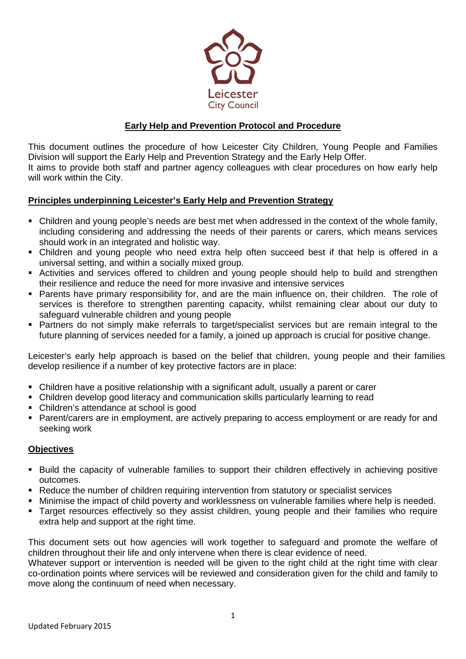

# **Early Help and Prevention Protocol and Procedure**

This document outlines the procedure of how Leicester City Children, Young People and Families Division will support the Early Help and Prevention Strategy and the Early Help Offer. It aims to provide both staff and partner agency colleagues with clear procedures on how early help will work within the City.

#### **Principles underpinning Leicester's Early Help and Prevention Strategy**

- Children and young people's needs are best met when addressed in the context of the whole family, including considering and addressing the needs of their parents or carers, which means services should work in an integrated and holistic way.
- Children and young people who need extra help often succeed best if that help is offered in a universal setting, and within a socially mixed group.
- Activities and services offered to children and young people should help to build and strengthen their resilience and reduce the need for more invasive and intensive services
- Parents have primary responsibility for, and are the main influence on, their children. The role of services is therefore to strengthen parenting capacity, whilst remaining clear about our duty to safeguard vulnerable children and young people
- Partners do not simply make referrals to target/specialist services but are remain integral to the future planning of services needed for a family, a joined up approach is crucial for positive change.

Leicester's early help approach is based on the belief that children, young people and their families develop resilience if a number of key protective factors are in place:

- Children have a positive relationship with a significant adult, usually a parent or carer
- Children develop good literacy and communication skills particularly learning to read
- Children's attendance at school is good
- **Parent/carers are in employment, are actively preparing to access employment or are ready for and** seeking work

#### **Objectives**

- Build the capacity of vulnerable families to support their children effectively in achieving positive outcomes.
- Reduce the number of children requiring intervention from statutory or specialist services
- Minimise the impact of child poverty and worklessness on vulnerable families where help is needed.
- Target resources effectively so they assist children, young people and their families who require extra help and support at the right time.

This document sets out how agencies will work together to safeguard and promote the welfare of children throughout their life and only intervene when there is clear evidence of need.

Whatever support or intervention is needed will be given to the right child at the right time with clear co-ordination points where services will be reviewed and consideration given for the child and family to move along the continuum of need when necessary.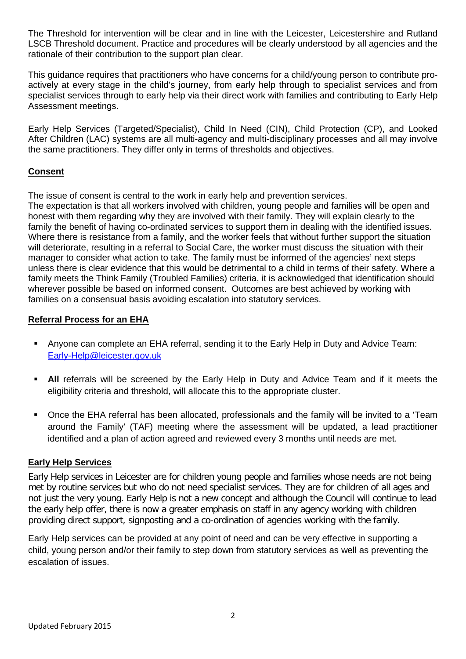The Threshold for intervention will be clear and in line with the Leicester, Leicestershire and Rutland LSCB Threshold document. Practice and procedures will be clearly understood by all agencies and the rationale of their contribution to the support plan clear.

This guidance requires that practitioners who have concerns for a child/young person to contribute proactively at every stage in the child's journey, from early help through to specialist services and from specialist services through to early help via their direct work with families and contributing to Early Help Assessment meetings.

Early Help Services (Targeted/Specialist), Child In Need (CIN), Child Protection (CP), and Looked After Children (LAC) systems are all multi-agency and multi-disciplinary processes and all may involve the same practitioners. They differ only in terms of thresholds and objectives.

# **Consent**

The issue of consent is central to the work in early help and prevention services.

The expectation is that all workers involved with children, young people and families will be open and honest with them regarding why they are involved with their family. They will explain clearly to the family the benefit of having co-ordinated services to support them in dealing with the identified issues. Where there is resistance from a family, and the worker feels that without further support the situation will deteriorate, resulting in a referral to Social Care, the worker must discuss the situation with their manager to consider what action to take. The family must be informed of the agencies' next steps unless there is clear evidence that this would be detrimental to a child in terms of their safety. Where a family meets the Think Family (Troubled Families) criteria, it is acknowledged that identification should wherever possible be based on informed consent. Outcomes are best achieved by working with families on a consensual basis avoiding escalation into statutory services.

#### **Referral Process for an EHA**

- Anyone can complete an EHA referral, sending it to the Early Help in Duty and Advice Team: [Early-Help@leicester.gov.uk](mailto:Early-Help@leicester.gov.uk)
- **All** referrals will be screened by the Early Help in Duty and Advice Team and if it meets the eligibility criteria and threshold, will allocate this to the appropriate cluster.
- Once the EHA referral has been allocated, professionals and the family will be invited to a 'Team around the Family' (TAF) meeting where the assessment will be updated, a lead practitioner identified and a plan of action agreed and reviewed every 3 months until needs are met.

## **Early Help Services**

Early Help services in Leicester are for children young people and families whose needs are not being met by routine services but who do not need specialist services. They are for children of all ages and not just the very young. Early Help is not a new concept and although the Council will continue to lead the early help offer, there is now a greater emphasis on staff in any agency working with children providing direct support, signposting and a co-ordination of agencies working with the family.

Early Help services can be provided at any point of need and can be very effective in supporting a child, young person and/or their family to step down from statutory services as well as preventing the escalation of issues.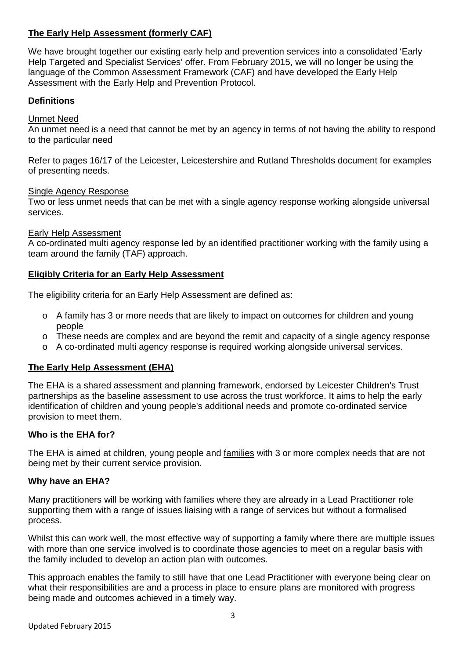# **The Early Help Assessment (formerly CAF)**

We have brought together our existing early help and prevention services into a consolidated 'Early Help Targeted and Specialist Services' offer. From February 2015, we will no longer be using the language of the Common Assessment Framework (CAF) and have developed the Early Help Assessment with the Early Help and Prevention Protocol.

# **Definitions**

#### Unmet Need

An unmet need is a need that cannot be met by an agency in terms of not having the ability to respond to the particular need

Refer to pages 16/17 of the Leicester, Leicestershire and Rutland Thresholds document for examples of presenting needs.

#### Single Agency Response

Two or less unmet needs that can be met with a single agency response working alongside universal services.

#### Early Help Assessment

A co-ordinated multi agency response led by an identified practitioner working with the family using a team around the family (TAF) approach.

#### **Eligibly Criteria for an Early Help Assessment**

The eligibility criteria for an Early Help Assessment are defined as:

- o A family has 3 or more needs that are likely to impact on outcomes for children and young people
- o These needs are complex and are beyond the remit and capacity of a single agency response
- o A co-ordinated multi agency response is required working alongside universal services.

## **The Early Help Assessment (EHA)**

The EHA is a shared assessment and planning framework, endorsed by Leicester Children's Trust partnerships as the baseline assessment to use across the trust workforce. It aims to help the early identification of children and young people's additional needs and promote co-ordinated service provision to meet them.

#### **Who is the EHA for?**

The EHA is aimed at children, young people and families with 3 or more complex needs that are not being met by their current service provision.

#### **Why have an EHA?**

Many practitioners will be working with families where they are already in a Lead Practitioner role supporting them with a range of issues liaising with a range of services but without a formalised process.

Whilst this can work well, the most effective way of supporting a family where there are multiple issues with more than one service involved is to coordinate those agencies to meet on a regular basis with the family included to develop an action plan with outcomes.

This approach enables the family to still have that one Lead Practitioner with everyone being clear on what their responsibilities are and a process in place to ensure plans are monitored with progress being made and outcomes achieved in a timely way.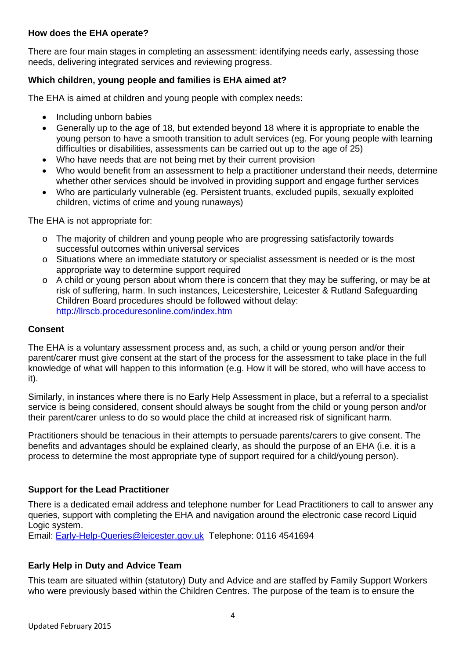#### **How does the EHA operate?**

There are four main stages in completing an assessment: identifying needs early, assessing those needs, delivering integrated services and reviewing progress.

# **Which children, young people and families is EHA aimed at?**

The EHA is aimed at children and young people with complex needs:

- Including unborn babies
- Generally up to the age of 18, but extended beyond 18 where it is appropriate to enable the young person to have a smooth transition to adult services (eg. For young people with learning difficulties or disabilities, assessments can be carried out up to the age of 25)
- Who have needs that are not being met by their current provision
- Who would benefit from an assessment to help a practitioner understand their needs, determine whether other services should be involved in providing support and engage further services
- Who are particularly vulnerable (eg. Persistent truants, excluded pupils, sexually exploited children, victims of crime and young runaways)

The EHA is not appropriate for:

- o The majority of children and young people who are progressing satisfactorily towards successful outcomes within universal services
- o Situations where an immediate statutory or specialist assessment is needed or is the most appropriate way to determine support required
- o A child or young person about whom there is concern that they may be suffering, or may be at risk of suffering, harm. In such instances, Leicestershire, Leicester & Rutland Safeguarding Children Board procedures should be followed without delay: <http://llrscb.proceduresonline.com/index.htm>

#### **Consent**

The EHA is a voluntary assessment process and, as such, a child or young person and/or their parent/carer must give consent at the start of the process for the assessment to take place in the full knowledge of what will happen to this information (e.g. How it will be stored, who will have access to it).

Similarly, in instances where there is no Early Help Assessment in place, but a referral to a specialist service is being considered, consent should always be sought from the child or young person and/or their parent/carer unless to do so would place the child at increased risk of significant harm.

Practitioners should be tenacious in their attempts to persuade parents/carers to give consent. The benefits and advantages should be explained clearly, as should the purpose of an EHA (i.e. it is a process to determine the most appropriate type of support required for a child/young person).

## **Support for the Lead Practitioner**

There is a dedicated email address and telephone number for Lead Practitioners to call to answer any queries, support with completing the EHA and navigation around the electronic case record Liquid Logic system.

Email: [Early-Help-Queries@leicester.gov.uk](mailto:Early-Help-Queries@leicester.gov.uk) Telephone: 0116 4541694

## **Early Help in Duty and Advice Team**

This team are situated within (statutory) Duty and Advice and are staffed by Family Support Workers who were previously based within the Children Centres. The purpose of the team is to ensure the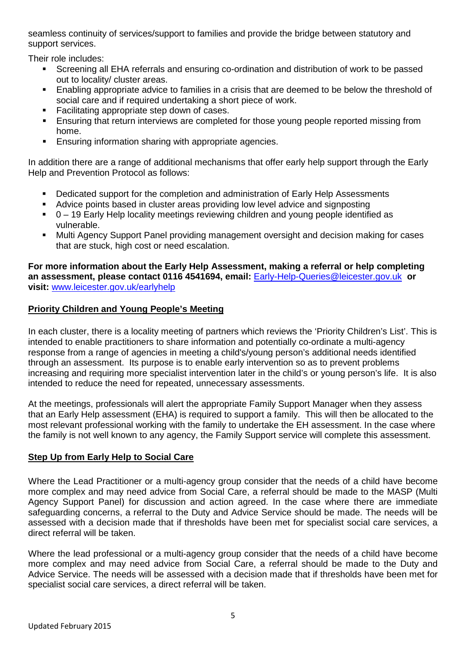seamless continuity of services/support to families and provide the bridge between statutory and support services.

Their role includes:

- Screening all EHA referrals and ensuring co-ordination and distribution of work to be passed out to locality/ cluster areas.
- **Enabling appropriate advice to families in a crisis that are deemed to be below the threshold of** social care and if required undertaking a short piece of work.
- Facilitating appropriate step down of cases.
- Ensuring that return interviews are completed for those young people reported missing from home.
- **Ensuring information sharing with appropriate agencies.**

In addition there are a range of additional mechanisms that offer early help support through the Early Help and Prevention Protocol as follows:

- **•** Dedicated support for the completion and administration of Early Help Assessments
- Advice points based in cluster areas providing low level advice and signposting
- $\bullet$  0 19 Early Help locality meetings reviewing children and young people identified as vulnerable.
- Multi Agency Support Panel providing management oversight and decision making for cases that are stuck, high cost or need escalation.

**For more information about the Early Help Assessment, making a referral or help completing an assessment, please contact 0116 4541694, email:** [Early-Help-Queries@leicester.gov.uk](mailto:Early-Help-Queries@leicester.gov.uk) **or visit:** [www.leicester.gov.uk/earlyhelp](http://www.leicester.gov.uk/earlyhelp)

# **Priority Children and Young People's Meeting**

In each cluster, there is a locality meeting of partners which reviews the 'Priority Children's List'. This is intended to enable practitioners to share information and potentially co-ordinate a multi-agency response from a range of agencies in meeting a child's/young person's additional needs identified through an assessment. Its purpose is to enable early intervention so as to prevent problems increasing and requiring more specialist intervention later in the child's or young person's life. It is also intended to reduce the need for repeated, unnecessary assessments.

At the meetings, professionals will alert the appropriate Family Support Manager when they assess that an Early Help assessment (EHA) is required to support a family. This will then be allocated to the most relevant professional working with the family to undertake the EH assessment. In the case where the family is not well known to any agency, the Family Support service will complete this assessment.

## **Step Up from Early Help to Social Care**

Where the Lead Practitioner or a multi-agency group consider that the needs of a child have become more complex and may need advice from Social Care, a referral should be made to the MASP (Multi Agency Support Panel) for discussion and action agreed. In the case where there are immediate safeguarding concerns, a referral to the Duty and Advice Service should be made. The needs will be assessed with a decision made that if thresholds have been met for specialist social care services, a direct referral will be taken.

Where the lead professional or a multi-agency group consider that the needs of a child have become more complex and may need advice from Social Care, a referral should be made to the Duty and Advice Service. The needs will be assessed with a decision made that if thresholds have been met for specialist social care services, a direct referral will be taken.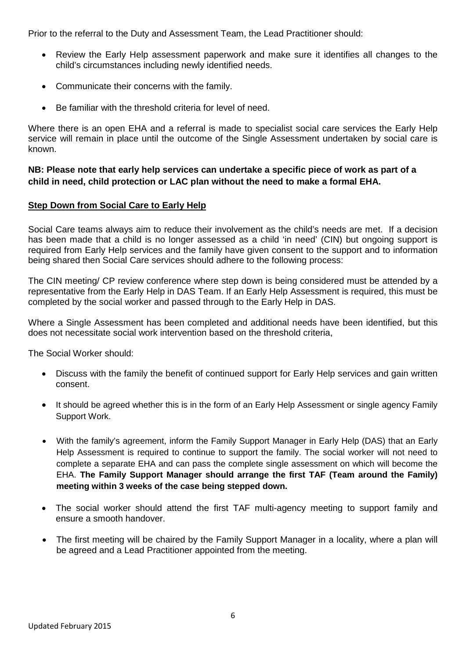Prior to the referral to the Duty and Assessment Team, the Lead Practitioner should:

- Review the Early Help assessment paperwork and make sure it identifies all changes to the child's circumstances including newly identified needs.
- Communicate their concerns with the family.
- Be familiar with the threshold criteria for level of need.

Where there is an open EHA and a referral is made to specialist social care services the Early Help service will remain in place until the outcome of the Single Assessment undertaken by social care is known.

**NB: Please note that early help services can undertake a specific piece of work as part of a child in need, child protection or LAC plan without the need to make a formal EHA.**

## **Step Down from Social Care to Early Help**

Social Care teams always aim to reduce their involvement as the child's needs are met. If a decision has been made that a child is no longer assessed as a child 'in need' (CIN) but ongoing support is required from Early Help services and the family have given consent to the support and to information being shared then Social Care services should adhere to the following process:

The CIN meeting/ CP review conference where step down is being considered must be attended by a representative from the Early Help in DAS Team. If an Early Help Assessment is required, this must be completed by the social worker and passed through to the Early Help in DAS.

Where a Single Assessment has been completed and additional needs have been identified, but this does not necessitate social work intervention based on the threshold criteria,

The Social Worker should:

- Discuss with the family the benefit of continued support for Early Help services and gain written consent.
- It should be agreed whether this is in the form of an Early Help Assessment or single agency Family Support Work.
- With the family's agreement, inform the Family Support Manager in Early Help (DAS) that an Early Help Assessment is required to continue to support the family. The social worker will not need to complete a separate EHA and can pass the complete single assessment on which will become the EHA. **The Family Support Manager should arrange the first TAF (Team around the Family) meeting within 3 weeks of the case being stepped down.**
- The social worker should attend the first TAF multi-agency meeting to support family and ensure a smooth handover.
- The first meeting will be chaired by the Family Support Manager in a locality, where a plan will be agreed and a Lead Practitioner appointed from the meeting.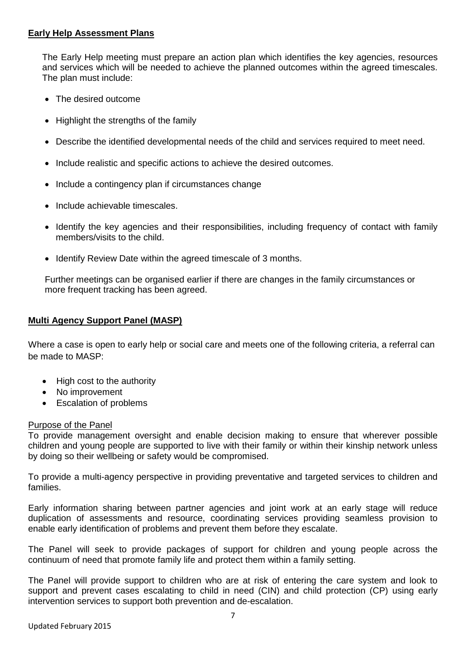#### **Early Help Assessment Plans**

The Early Help meeting must prepare an action plan which identifies the key agencies, resources and services which will be needed to achieve the planned outcomes within the agreed timescales. The plan must include:

- The desired outcome
- Highlight the strengths of the family
- Describe the identified developmental needs of the child and services required to meet need.
- Include realistic and specific actions to achieve the desired outcomes.
- Include a contingency plan if circumstances change
- Include achievable timescales.
- Identify the key agencies and their responsibilities, including frequency of contact with family members/visits to the child.
- Identify Review Date within the agreed timescale of 3 months.

Further meetings can be organised earlier if there are changes in the family circumstances or more frequent tracking has been agreed.

#### **Multi Agency Support Panel (MASP)**

Where a case is open to early help or social care and meets one of the following criteria, a referral can be made to MASP:

- High cost to the authority
- No improvement
- Escalation of problems

#### Purpose of the Panel

To provide management oversight and enable decision making to ensure that wherever possible children and young people are supported to live with their family or within their kinship network unless by doing so their wellbeing or safety would be compromised.

To provide a multi-agency perspective in providing preventative and targeted services to children and families.

Early information sharing between partner agencies and joint work at an early stage will reduce duplication of assessments and resource, coordinating services providing seamless provision to enable early identification of problems and prevent them before they escalate.

The Panel will seek to provide packages of support for children and young people across the continuum of need that promote family life and protect them within a family setting.

The Panel will provide support to children who are at risk of entering the care system and look to support and prevent cases escalating to child in need (CIN) and child protection (CP) using early intervention services to support both prevention and de-escalation.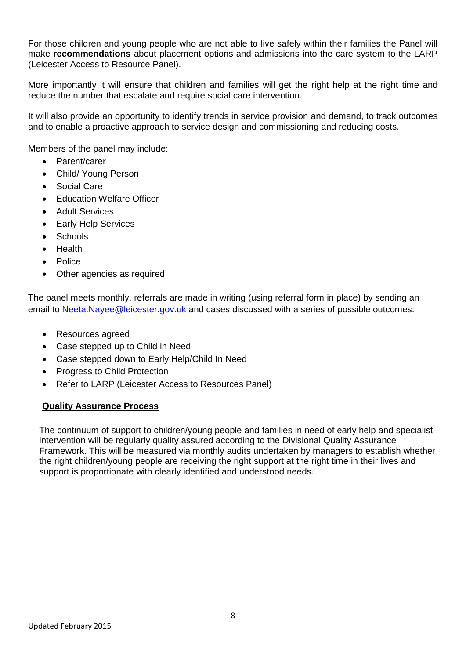For those children and young people who are not able to live safely within their families the Panel will make **recommendations** about placement options and admissions into the care system to the LARP (Leicester Access to Resource Panel).

More importantly it will ensure that children and families will get the right help at the right time and reduce the number that escalate and require social care intervention.

It will also provide an opportunity to identify trends in service provision and demand, to track outcomes and to enable a proactive approach to service design and commissioning and reducing costs.

Members of the panel may include:

- Parent/carer
- Child/ Young Person
- Social Care
- **Education Welfare Officer**
- Adult Services
- Early Help Services
- **Schools**
- Health
- Police
- Other agencies as required

The panel meets monthly, referrals are made in writing (using referral form in place) by sending an email to [Neeta.Nayee@leicester.gov.uk](mailto:Neeta.Nayee@leicester.gov.uk) and cases discussed with a series of possible outcomes:

- Resources agreed
- Case stepped up to Child in Need
- Case stepped down to Early Help/Child In Need
- Progress to Child Protection
- Refer to LARP (Leicester Access to Resources Panel)

## **Quality Assurance Process**

The continuum of support to children/young people and families in need of early help and specialist intervention will be regularly quality assured according to the Divisional Quality Assurance Framework. This will be measured via monthly audits undertaken by managers to establish whether the right children/young people are receiving the right support at the right time in their lives and support is proportionate with clearly identified and understood needs.